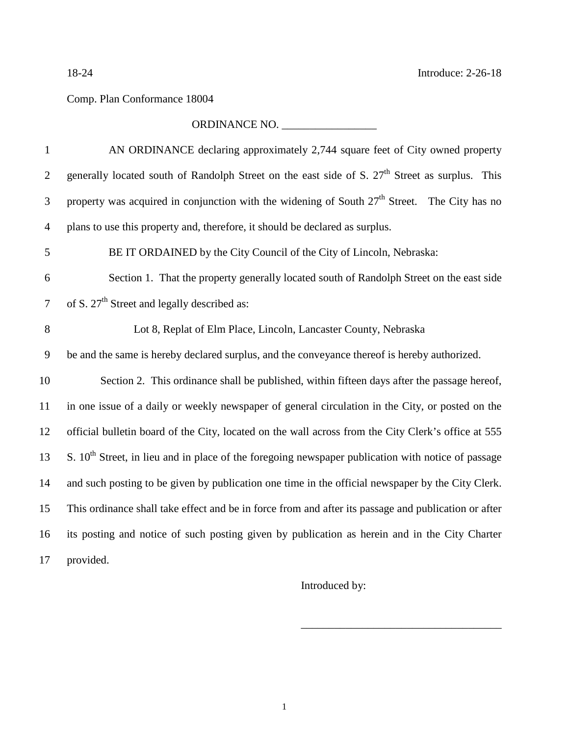## Comp. Plan Conformance 18004

## ORDINANCE NO. \_\_\_\_\_\_\_\_\_\_\_\_\_\_\_\_\_

| $\mathbf{1}$   | AN ORDINANCE declaring approximately 2,744 square feet of City owned property                              |
|----------------|------------------------------------------------------------------------------------------------------------|
| $\overline{2}$ | generally located south of Randolph Street on the east side of S. 27 <sup>th</sup> Street as surplus. This |
| 3              | property was acquired in conjunction with the widening of South $27th$ Street. The City has no             |
| $\overline{4}$ | plans to use this property and, therefore, it should be declared as surplus.                               |
| 5              | BE IT ORDAINED by the City Council of the City of Lincoln, Nebraska:                                       |
| 6              | Section 1. That the property generally located south of Randolph Street on the east side                   |
| $\overline{7}$ | of S. $27th$ Street and legally described as:                                                              |
| 8              | Lot 8, Replat of Elm Place, Lincoln, Lancaster County, Nebraska                                            |
| 9              | be and the same is hereby declared surplus, and the conveyance thereof is hereby authorized.               |
| 10             | Section 2. This ordinance shall be published, within fifteen days after the passage hereof,                |
| 11             | in one issue of a daily or weekly newspaper of general circulation in the City, or posted on the           |
| 12             | official bulletin board of the City, located on the wall across from the City Clerk's office at 555        |
| 13             | S. $10th$ Street, in lieu and in place of the foregoing newspaper publication with notice of passage       |
| 14             | and such posting to be given by publication one time in the official newspaper by the City Clerk.          |
| 15             | This ordinance shall take effect and be in force from and after its passage and publication or after       |
| 16             | its posting and notice of such posting given by publication as herein and in the City Charter              |
| 17             | provided.                                                                                                  |

Introduced by:

\_\_\_\_\_\_\_\_\_\_\_\_\_\_\_\_\_\_\_\_\_\_\_\_\_\_\_\_\_\_\_\_\_\_\_\_